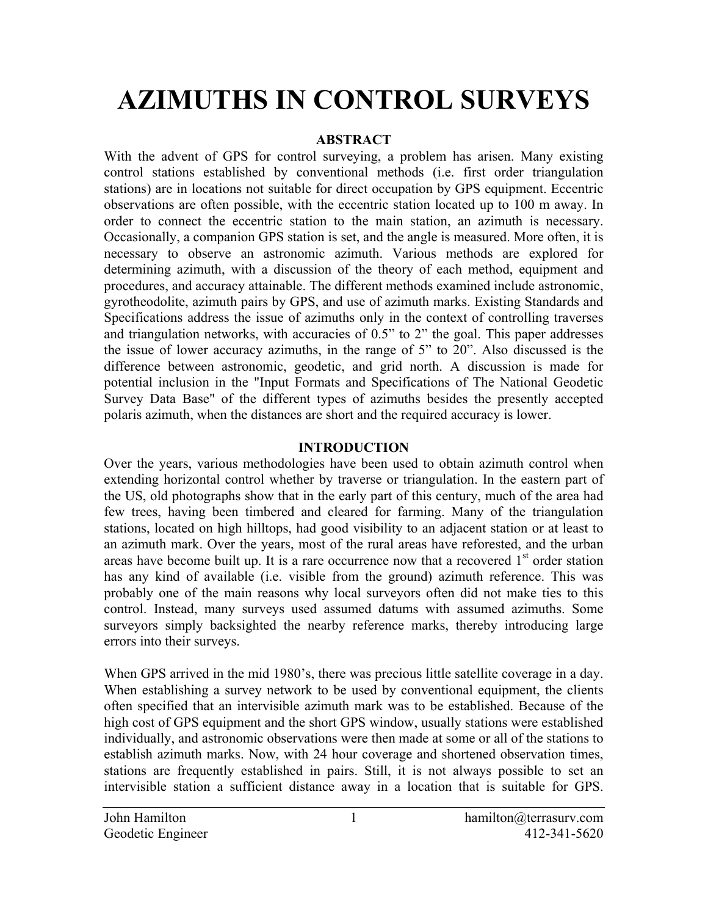# **AZIMUTHS IN CONTROL SURVEYS**

## **ABSTRACT**

With the advent of GPS for control surveying, a problem has arisen. Many existing control stations established by conventional methods (i.e. first order triangulation stations) are in locations not suitable for direct occupation by GPS equipment. Eccentric observations are often possible, with the eccentric station located up to 100 m away. In order to connect the eccentric station to the main station, an azimuth is necessary. Occasionally, a companion GPS station is set, and the angle is measured. More often, it is necessary to observe an astronomic azimuth. Various methods are explored for determining azimuth, with a discussion of the theory of each method, equipment and procedures, and accuracy attainable. The different methods examined include astronomic, gyrotheodolite, azimuth pairs by GPS, and use of azimuth marks. Existing Standards and Specifications address the issue of azimuths only in the context of controlling traverses and triangulation networks, with accuracies of 0.5" to 2" the goal. This paper addresses the issue of lower accuracy azimuths, in the range of 5" to 20". Also discussed is the difference between astronomic, geodetic, and grid north. A discussion is made for potential inclusion in the "Input Formats and Specifications of The National Geodetic Survey Data Base" of the different types of azimuths besides the presently accepted polaris azimuth, when the distances are short and the required accuracy is lower.

## **INTRODUCTION**

Over the years, various methodologies have been used to obtain azimuth control when extending horizontal control whether by traverse or triangulation. In the eastern part of the US, old photographs show that in the early part of this century, much of the area had few trees, having been timbered and cleared for farming. Many of the triangulation stations, located on high hilltops, had good visibility to an adjacent station or at least to an azimuth mark. Over the years, most of the rural areas have reforested, and the urban areas have become built up. It is a rare occurrence now that a recovered  $1<sup>st</sup>$  order station has any kind of available (i.e. visible from the ground) azimuth reference. This was probably one of the main reasons why local surveyors often did not make ties to this control. Instead, many surveys used assumed datums with assumed azimuths. Some surveyors simply backsighted the nearby reference marks, thereby introducing large errors into their surveys.

When GPS arrived in the mid 1980's, there was precious little satellite coverage in a day. When establishing a survey network to be used by conventional equipment, the clients often specified that an intervisible azimuth mark was to be established. Because of the high cost of GPS equipment and the short GPS window, usually stations were established individually, and astronomic observations were then made at some or all of the stations to establish azimuth marks. Now, with 24 hour coverage and shortened observation times, stations are frequently established in pairs. Still, it is not always possible to set an intervisible station a sufficient distance away in a location that is suitable for GPS.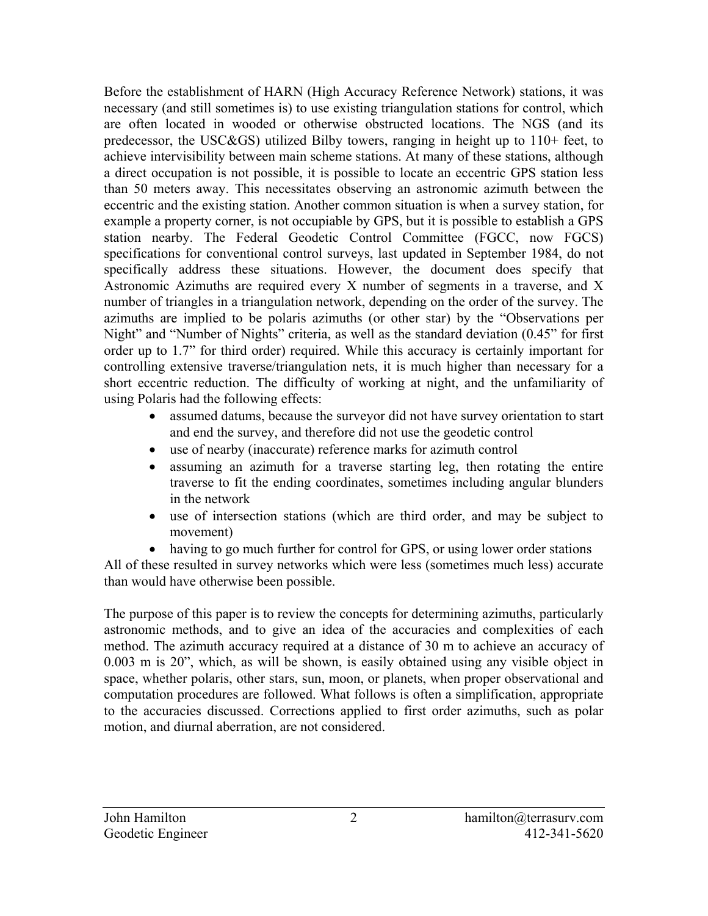Before the establishment of HARN (High Accuracy Reference Network) stations, it was necessary (and still sometimes is) to use existing triangulation stations for control, which are often located in wooded or otherwise obstructed locations. The NGS (and its predecessor, the USC&GS) utilized Bilby towers, ranging in height up to 110+ feet, to achieve intervisibility between main scheme stations. At many of these stations, although a direct occupation is not possible, it is possible to locate an eccentric GPS station less than 50 meters away. This necessitates observing an astronomic azimuth between the eccentric and the existing station. Another common situation is when a survey station, for example a property corner, is not occupiable by GPS, but it is possible to establish a GPS station nearby. The Federal Geodetic Control Committee (FGCC, now FGCS) specifications for conventional control surveys, last updated in September 1984, do not specifically address these situations. However, the document does specify that Astronomic Azimuths are required every X number of segments in a traverse, and X number of triangles in a triangulation network, depending on the order of the survey. The azimuths are implied to be polaris azimuths (or other star) by the "Observations per Night" and "Number of Nights" criteria, as well as the standard deviation (0.45" for first order up to 1.7" for third order) required. While this accuracy is certainly important for controlling extensive traverse/triangulation nets, it is much higher than necessary for a short eccentric reduction. The difficulty of working at night, and the unfamiliarity of using Polaris had the following effects:

- assumed datums, because the surveyor did not have survey orientation to start and end the survey, and therefore did not use the geodetic control
- use of nearby (inaccurate) reference marks for azimuth control
- assuming an azimuth for a traverse starting leg, then rotating the entire traverse to fit the ending coordinates, sometimes including angular blunders in the network
- use of intersection stations (which are third order, and may be subject to movement)
- having to go much further for control for GPS, or using lower order stations

All of these resulted in survey networks which were less (sometimes much less) accurate than would have otherwise been possible.

The purpose of this paper is to review the concepts for determining azimuths, particularly astronomic methods, and to give an idea of the accuracies and complexities of each method. The azimuth accuracy required at a distance of 30 m to achieve an accuracy of 0.003 m is 20", which, as will be shown, is easily obtained using any visible object in space, whether polaris, other stars, sun, moon, or planets, when proper observational and computation procedures are followed. What follows is often a simplification, appropriate to the accuracies discussed. Corrections applied to first order azimuths, such as polar motion, and diurnal aberration, are not considered.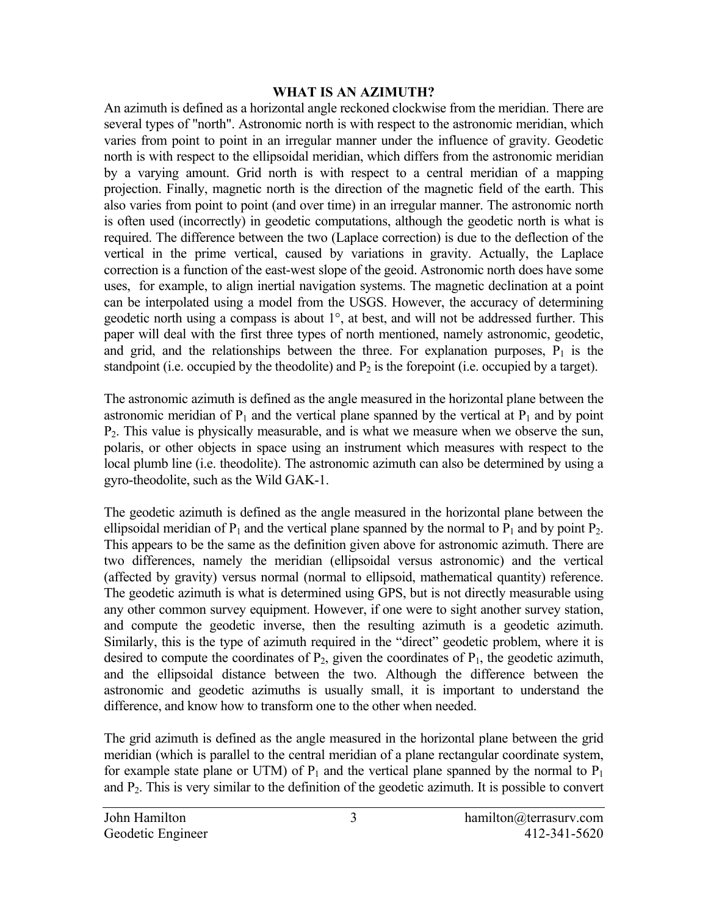#### **WHAT IS AN AZIMUTH?**

An azimuth is defined as a horizontal angle reckoned clockwise from the meridian. There are several types of "north". Astronomic north is with respect to the astronomic meridian, which varies from point to point in an irregular manner under the influence of gravity. Geodetic north is with respect to the ellipsoidal meridian, which differs from the astronomic meridian by a varying amount. Grid north is with respect to a central meridian of a mapping projection. Finally, magnetic north is the direction of the magnetic field of the earth. This also varies from point to point (and over time) in an irregular manner. The astronomic north is often used (incorrectly) in geodetic computations, although the geodetic north is what is required. The difference between the two (Laplace correction) is due to the deflection of the vertical in the prime vertical, caused by variations in gravity. Actually, the Laplace correction is a function of the east-west slope of the geoid. Astronomic north does have some uses, for example, to align inertial navigation systems. The magnetic declination at a point can be interpolated using a model from the USGS. However, the accuracy of determining geodetic north using a compass is about 1°, at best, and will not be addressed further. This paper will deal with the first three types of north mentioned, namely astronomic, geodetic, and grid, and the relationships between the three. For explanation purposes,  $P_1$  is the standpoint (i.e. occupied by the theodolite) and  $P_2$  is the forepoint (i.e. occupied by a target).

The astronomic azimuth is defined as the angle measured in the horizontal plane between the astronomic meridian of  $P_1$  and the vertical plane spanned by the vertical at  $P_1$  and by point  $P<sub>2</sub>$ . This value is physically measurable, and is what we measure when we observe the sun, polaris, or other objects in space using an instrument which measures with respect to the local plumb line (i.e. theodolite). The astronomic azimuth can also be determined by using a gyro-theodolite, such as the Wild GAK-1.

The geodetic azimuth is defined as the angle measured in the horizontal plane between the ellipsoidal meridian of  $P_1$  and the vertical plane spanned by the normal to  $P_1$  and by point  $P_2$ . This appears to be the same as the definition given above for astronomic azimuth. There are two differences, namely the meridian (ellipsoidal versus astronomic) and the vertical (affected by gravity) versus normal (normal to ellipsoid, mathematical quantity) reference. The geodetic azimuth is what is determined using GPS, but is not directly measurable using any other common survey equipment. However, if one were to sight another survey station, and compute the geodetic inverse, then the resulting azimuth is a geodetic azimuth. Similarly, this is the type of azimuth required in the "direct" geodetic problem, where it is desired to compute the coordinates of  $P_2$ , given the coordinates of  $P_1$ , the geodetic azimuth, and the ellipsoidal distance between the two. Although the difference between the astronomic and geodetic azimuths is usually small, it is important to understand the difference, and know how to transform one to the other when needed.

The grid azimuth is defined as the angle measured in the horizontal plane between the grid meridian (which is parallel to the central meridian of a plane rectangular coordinate system, for example state plane or UTM) of  $P_1$  and the vertical plane spanned by the normal to  $P_1$ and  $P_2$ . This is very similar to the definition of the geodetic azimuth. It is possible to convert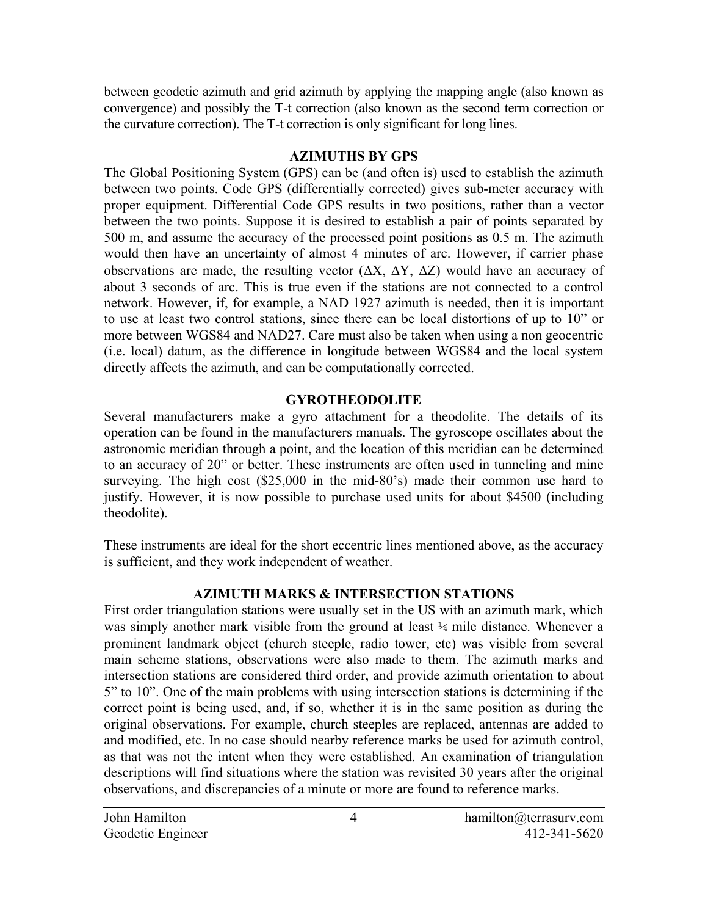between geodetic azimuth and grid azimuth by applying the mapping angle (also known as convergence) and possibly the T-t correction (also known as the second term correction or the curvature correction). The T-t correction is only significant for long lines.

## **AZIMUTHS BY GPS**

The Global Positioning System (GPS) can be (and often is) used to establish the azimuth between two points. Code GPS (differentially corrected) gives sub-meter accuracy with proper equipment. Differential Code GPS results in two positions, rather than a vector between the two points. Suppose it is desired to establish a pair of points separated by 500 m, and assume the accuracy of the processed point positions as 0.5 m. The azimuth would then have an uncertainty of almost 4 minutes of arc. However, if carrier phase observations are made, the resulting vector  $(\Delta X, \Delta Y, \Delta Z)$  would have an accuracy of about 3 seconds of arc. This is true even if the stations are not connected to a control network. However, if, for example, a NAD 1927 azimuth is needed, then it is important to use at least two control stations, since there can be local distortions of up to 10" or more between WGS84 and NAD27. Care must also be taken when using a non geocentric (i.e. local) datum, as the difference in longitude between WGS84 and the local system directly affects the azimuth, and can be computationally corrected.

# **GYROTHEODOLITE**

Several manufacturers make a gyro attachment for a theodolite. The details of its operation can be found in the manufacturers manuals. The gyroscope oscillates about the astronomic meridian through a point, and the location of this meridian can be determined to an accuracy of 20" or better. These instruments are often used in tunneling and mine surveying. The high cost (\$25,000 in the mid-80's) made their common use hard to justify. However, it is now possible to purchase used units for about \$4500 (including theodolite).

These instruments are ideal for the short eccentric lines mentioned above, as the accuracy is sufficient, and they work independent of weather.

# **AZIMUTH MARKS & INTERSECTION STATIONS**

First order triangulation stations were usually set in the US with an azimuth mark, which was simply another mark visible from the ground at least  $\frac{1}{4}$  mile distance. Whenever a prominent landmark object (church steeple, radio tower, etc) was visible from several main scheme stations, observations were also made to them. The azimuth marks and intersection stations are considered third order, and provide azimuth orientation to about 5" to 10". One of the main problems with using intersection stations is determining if the correct point is being used, and, if so, whether it is in the same position as during the original observations. For example, church steeples are replaced, antennas are added to and modified, etc. In no case should nearby reference marks be used for azimuth control, as that was not the intent when they were established. An examination of triangulation descriptions will find situations where the station was revisited 30 years after the original observations, and discrepancies of a minute or more are found to reference marks.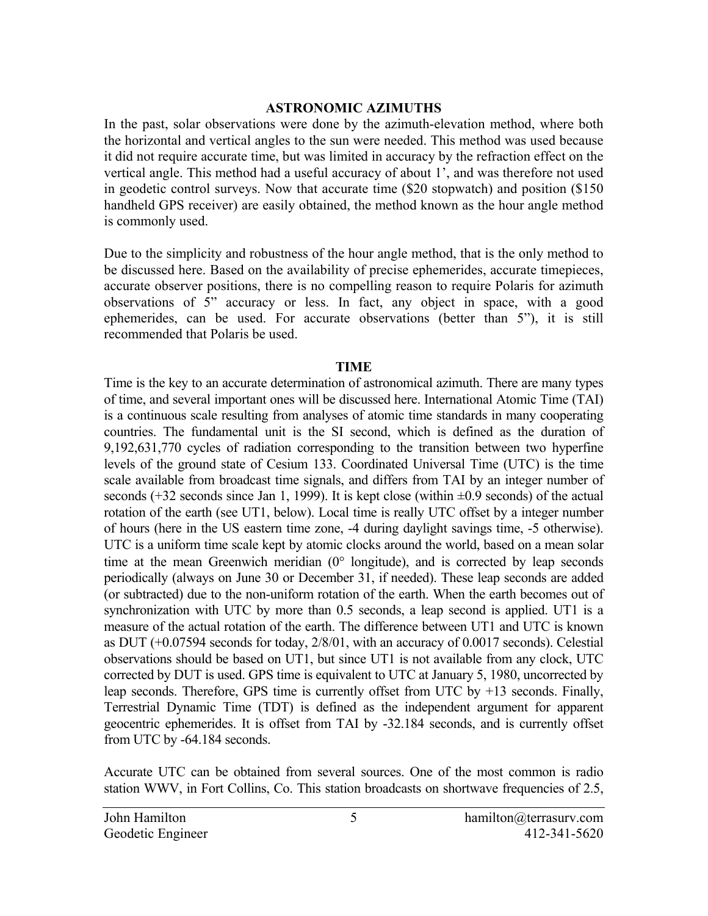#### **ASTRONOMIC AZIMUTHS**

In the past, solar observations were done by the azimuth-elevation method, where both the horizontal and vertical angles to the sun were needed. This method was used because it did not require accurate time, but was limited in accuracy by the refraction effect on the vertical angle. This method had a useful accuracy of about 1', and was therefore not used in geodetic control surveys. Now that accurate time (\$20 stopwatch) and position (\$150 handheld GPS receiver) are easily obtained, the method known as the hour angle method is commonly used.

Due to the simplicity and robustness of the hour angle method, that is the only method to be discussed here. Based on the availability of precise ephemerides, accurate timepieces, accurate observer positions, there is no compelling reason to require Polaris for azimuth observations of 5" accuracy or less. In fact, any object in space, with a good ephemerides, can be used. For accurate observations (better than 5"), it is still recommended that Polaris be used.

#### **TIME**

Time is the key to an accurate determination of astronomical azimuth. There are many types of time, and several important ones will be discussed here. International Atomic Time (TAI) is a continuous scale resulting from analyses of atomic time standards in many cooperating countries. The fundamental unit is the SI second, which is defined as the duration of 9,192,631,770 cycles of radiation corresponding to the transition between two hyperfine levels of the ground state of Cesium 133. Coordinated Universal Time (UTC) is the time scale available from broadcast time signals, and differs from TAI by an integer number of seconds  $(+32$  seconds since Jan 1, 1999). It is kept close (within  $\pm 0.9$  seconds) of the actual rotation of the earth (see UT1, below). Local time is really UTC offset by a integer number of hours (here in the US eastern time zone, -4 during daylight savings time, -5 otherwise). UTC is a uniform time scale kept by atomic clocks around the world, based on a mean solar time at the mean Greenwich meridian (0° longitude), and is corrected by leap seconds periodically (always on June 30 or December 31, if needed). These leap seconds are added (or subtracted) due to the non-uniform rotation of the earth. When the earth becomes out of synchronization with UTC by more than 0.5 seconds, a leap second is applied. UT1 is a measure of the actual rotation of the earth. The difference between UT1 and UTC is known as DUT (+0.07594 seconds for today, 2/8/01, with an accuracy of 0.0017 seconds). Celestial observations should be based on UT1, but since UT1 is not available from any clock, UTC corrected by DUT is used. GPS time is equivalent to UTC at January 5, 1980, uncorrected by leap seconds. Therefore, GPS time is currently offset from UTC by +13 seconds. Finally, Terrestrial Dynamic Time (TDT) is defined as the independent argument for apparent geocentric ephemerides. It is offset from TAI by -32.184 seconds, and is currently offset from UTC by -64.184 seconds.

Accurate UTC can be obtained from several sources. One of the most common is radio station WWV, in Fort Collins, Co. This station broadcasts on shortwave frequencies of 2.5,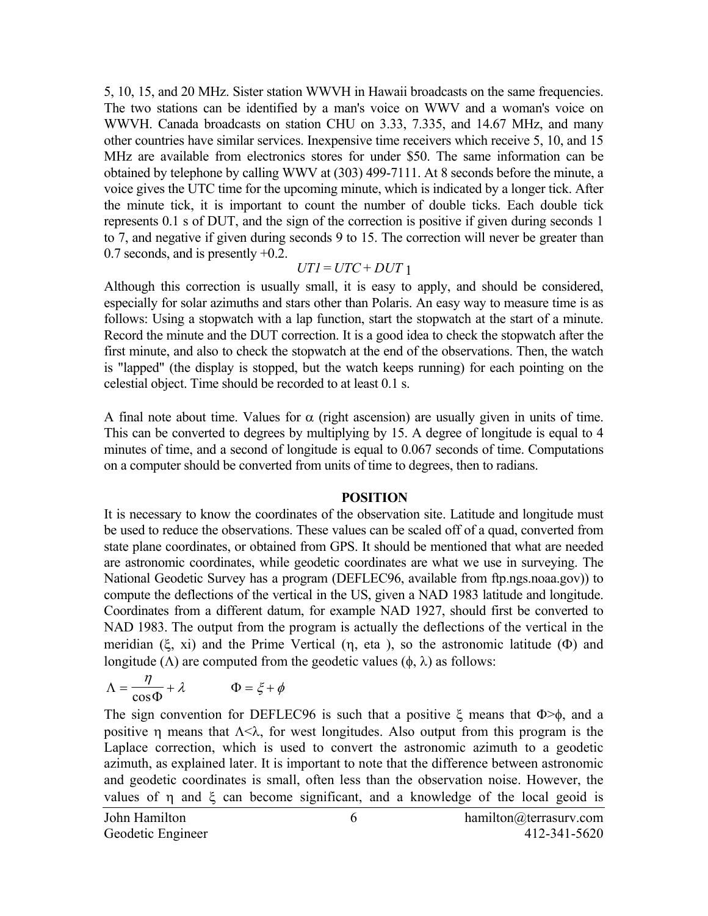5, 10, 15, and 20 MHz. Sister station WWVH in Hawaii broadcasts on the same frequencies. The two stations can be identified by a man's voice on WWV and a woman's voice on WWVH. Canada broadcasts on station CHU on 3.33, 7.335, and 14.67 MHz, and many other countries have similar services. Inexpensive time receivers which receive 5, 10, and 15 MHz are available from electronics stores for under \$50. The same information can be obtained by telephone by calling WWV at (303) 499-7111. At 8 seconds before the minute, a voice gives the UTC time for the upcoming minute, which is indicated by a longer tick. After the minute tick, it is important to count the number of double ticks. Each double tick represents 0.1 s of DUT, and the sign of the correction is positive if given during seconds 1 to 7, and negative if given during seconds 9 to 15. The correction will never be greater than 0.7 seconds, and is presently +0.2.

## $UTI = UTC + DUT$  1

Although this correction is usually small, it is easy to apply, and should be considered, especially for solar azimuths and stars other than Polaris. An easy way to measure time is as follows: Using a stopwatch with a lap function, start the stopwatch at the start of a minute. Record the minute and the DUT correction. It is a good idea to check the stopwatch after the first minute, and also to check the stopwatch at the end of the observations. Then, the watch is "lapped" (the display is stopped, but the watch keeps running) for each pointing on the celestial object. Time should be recorded to at least 0.1 s.

A final note about time. Values for  $\alpha$  (right ascension) are usually given in units of time. This can be converted to degrees by multiplying by 15. A degree of longitude is equal to 4 minutes of time, and a second of longitude is equal to 0.067 seconds of time. Computations on a computer should be converted from units of time to degrees, then to radians.

#### **POSITION**

It is necessary to know the coordinates of the observation site. Latitude and longitude must be used to reduce the observations. These values can be scaled off of a quad, converted from state plane coordinates, or obtained from GPS. It should be mentioned that what are needed are astronomic coordinates, while geodetic coordinates are what we use in surveying. The National Geodetic Survey has a program (DEFLEC96, available from ftp.ngs.noaa.gov)) to compute the deflections of the vertical in the US, given a NAD 1983 latitude and longitude. Coordinates from a different datum, for example NAD 1927, should first be converted to NAD 1983. The output from the program is actually the deflections of the vertical in the meridian (ξ, xi) and the Prime Vertical (η, eta ), so the astronomic latitude (Φ) and longitude ( $\Lambda$ ) are computed from the geodetic values ( $\phi$ ,  $\lambda$ ) as follows:

$$
\Lambda = \frac{\eta}{\cos \Phi} + \lambda \qquad \Phi = \xi + \phi
$$

The sign convention for DEFLEC96 is such that a positive  $\xi$  means that  $\Phi > \phi$ , and a positive η means that  $\Lambda \leq \lambda$ , for west longitudes. Also output from this program is the Laplace correction, which is used to convert the astronomic azimuth to a geodetic azimuth, as explained later. It is important to note that the difference between astronomic and geodetic coordinates is small, often less than the observation noise. However, the values of η and ξ can become significant, and a knowledge of the local geoid is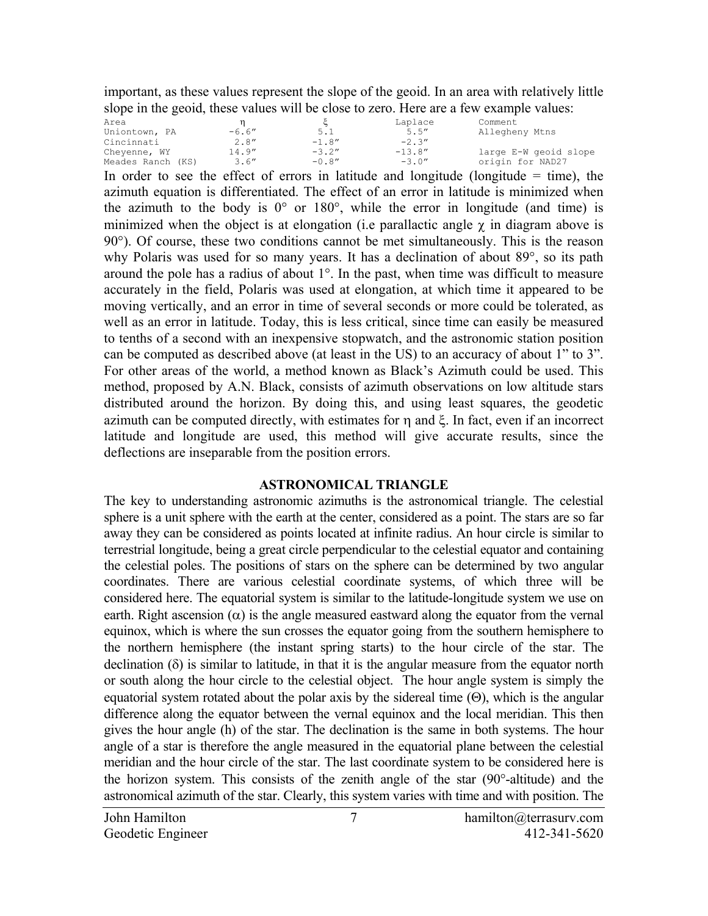important, as these values represent the slope of the geoid. In an area with relatively little slope in the geoid, these values will be close to zero. Here are a few example values:

| Area              |                           |          | Laplace   | Comment                                          |
|-------------------|---------------------------|----------|-----------|--------------------------------------------------|
| Uniontown, PA     | $-6.6''$                  | 5.1      | 5.5''     | Allegheny Mtns                                   |
| Cincinnati        | 2.8''                     | $-1.8''$ | $-2.3''$  |                                                  |
| Chevenne, WY      | 14.9''                    | $-3.2''$ | $-13.8''$ | large E-W geoid slope                            |
| Meades Ranch (KS) | 3.6''                     | $-0.8''$ | $-3.0''$  | origin for NAD27                                 |
|                   | $\mathbf{a}$ $\mathbf{a}$ |          |           | $\sim$ $\sim$ $\sim$ $\sim$ $\sim$ $\sim$ $\sim$ |

In order to see the effect of errors in latitude and longitude (longitude  $=$  time), the azimuth equation is differentiated. The effect of an error in latitude is minimized when the azimuth to the body is  $0^{\circ}$  or  $180^{\circ}$ , while the error in longitude (and time) is minimized when the object is at elongation (i.e parallactic angle  $\gamma$  in diagram above is 90°). Of course, these two conditions cannot be met simultaneously. This is the reason why Polaris was used for so many years. It has a declination of about 89<sup>o</sup>, so its path around the pole has a radius of about 1°. In the past, when time was difficult to measure accurately in the field, Polaris was used at elongation, at which time it appeared to be moving vertically, and an error in time of several seconds or more could be tolerated, as well as an error in latitude. Today, this is less critical, since time can easily be measured to tenths of a second with an inexpensive stopwatch, and the astronomic station position can be computed as described above (at least in the US) to an accuracy of about 1" to 3". For other areas of the world, a method known as Black's Azimuth could be used. This method, proposed by A.N. Black, consists of azimuth observations on low altitude stars distributed around the horizon. By doing this, and using least squares, the geodetic azimuth can be computed directly, with estimates for η and ξ. In fact, even if an incorrect latitude and longitude are used, this method will give accurate results, since the deflections are inseparable from the position errors.

## **ASTRONOMICAL TRIANGLE**

The key to understanding astronomic azimuths is the astronomical triangle. The celestial sphere is a unit sphere with the earth at the center, considered as a point. The stars are so far away they can be considered as points located at infinite radius. An hour circle is similar to terrestrial longitude, being a great circle perpendicular to the celestial equator and containing the celestial poles. The positions of stars on the sphere can be determined by two angular coordinates. There are various celestial coordinate systems, of which three will be considered here. The equatorial system is similar to the latitude-longitude system we use on earth. Right ascension  $(\alpha)$  is the angle measured eastward along the equator from the vernal equinox, which is where the sun crosses the equator going from the southern hemisphere to the northern hemisphere (the instant spring starts) to the hour circle of the star. The declination  $(\delta)$  is similar to latitude, in that it is the angular measure from the equator north or south along the hour circle to the celestial object. The hour angle system is simply the equatorial system rotated about the polar axis by the sidereal time (Θ), which is the angular difference along the equator between the vernal equinox and the local meridian. This then gives the hour angle (h) of the star. The declination is the same in both systems. The hour angle of a star is therefore the angle measured in the equatorial plane between the celestial meridian and the hour circle of the star. The last coordinate system to be considered here is the horizon system. This consists of the zenith angle of the star (90°-altitude) and the astronomical azimuth of the star. Clearly, this system varies with time and with position. The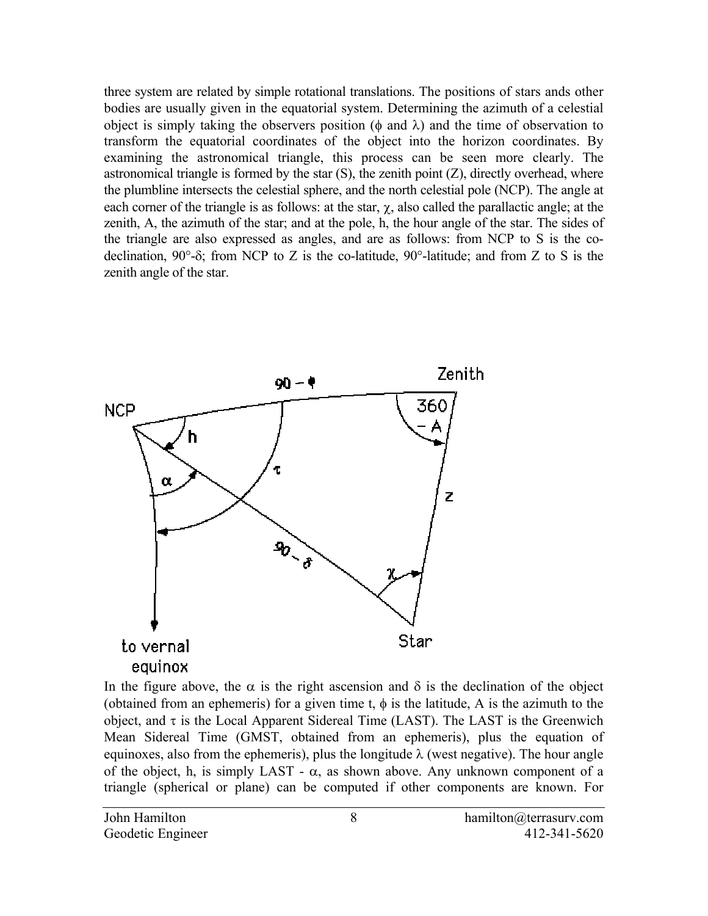three system are related by simple rotational translations. The positions of stars ands other bodies are usually given in the equatorial system. Determining the azimuth of a celestial object is simply taking the observers position ( $\phi$  and  $\lambda$ ) and the time of observation to transform the equatorial coordinates of the object into the horizon coordinates. By examining the astronomical triangle, this process can be seen more clearly. The astronomical triangle is formed by the star  $(S)$ , the zenith point  $(Z)$ , directly overhead, where the plumbline intersects the celestial sphere, and the north celestial pole (NCP). The angle at each corner of the triangle is as follows: at the star,  $\chi$ , also called the parallactic angle; at the zenith, A, the azimuth of the star; and at the pole, h, the hour angle of the star. The sides of the triangle are also expressed as angles, and are as follows: from NCP to S is the codeclination, 90°-δ; from NCP to Z is the co-latitude, 90°-latitude; and from Z to S is the zenith angle of the star.



In the figure above, the  $\alpha$  is the right ascension and  $\delta$  is the declination of the object (obtained from an ephemeris) for a given time t,  $\phi$  is the latitude, A is the azimuth to the object, and  $\tau$  is the Local Apparent Sidereal Time (LAST). The LAST is the Greenwich Mean Sidereal Time (GMST, obtained from an ephemeris), plus the equation of equinoxes, also from the ephemeris), plus the longitude  $\lambda$  (west negative). The hour angle of the object, h, is simply LAST -  $\alpha$ , as shown above. Any unknown component of a triangle (spherical or plane) can be computed if other components are known. For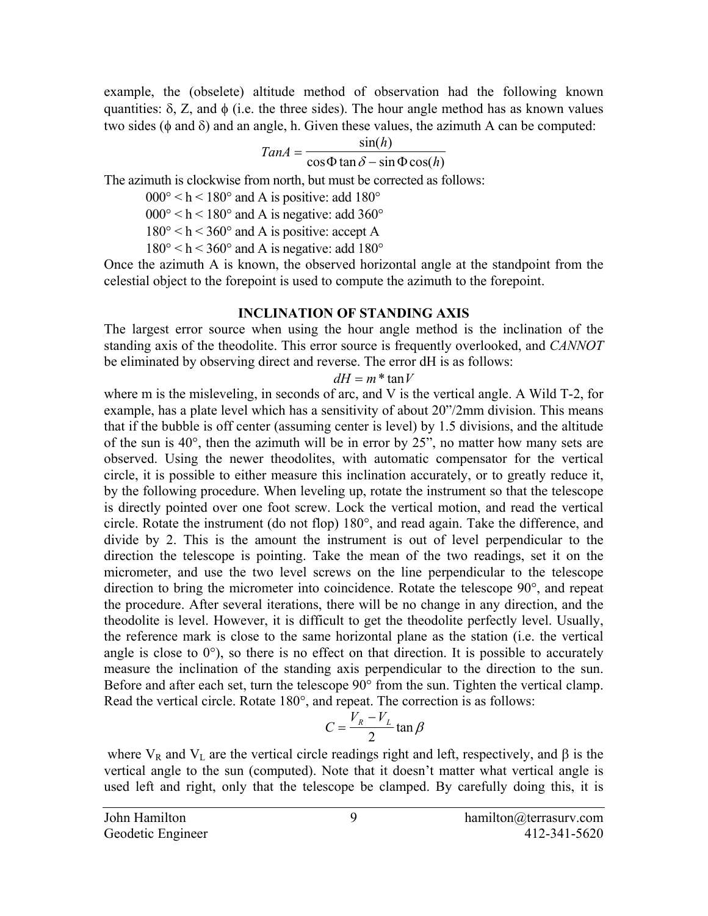example, the (obselete) altitude method of observation had the following known quantities:  $\delta$ , Z, and  $\phi$  (i.e. the three sides). The hour angle method has as known values two sides ( $\phi$  and  $\delta$ ) and an angle, h. Given these values, the azimuth A can be computed:

$$
TanA = \frac{\sin(h)}{\cos \Phi \tan \delta - \sin \Phi \cos(h)}
$$

The azimuth is clockwise from north, but must be corrected as follows:

 $000^{\circ}$  < h < 180° and A is positive: add 180°

 $000^{\circ}$  < h < 180° and A is negative: add 360°

 $180^{\circ}$  < h < 360° and A is positive: accept A

 $180^{\circ}$  < h < 360° and A is negative: add 180°

Once the azimuth A is known, the observed horizontal angle at the standpoint from the celestial object to the forepoint is used to compute the azimuth to the forepoint.

#### **INCLINATION OF STANDING AXIS**

The largest error source when using the hour angle method is the inclination of the standing axis of the theodolite. This error source is frequently overlooked, and *CANNOT*  be eliminated by observing direct and reverse. The error dH is as follows:

#### $dH = m^* \tan V$

where m is the misleveling, in seconds of arc, and V is the vertical angle. A Wild T-2, for example, has a plate level which has a sensitivity of about 20"/2mm division. This means that if the bubble is off center (assuming center is level) by 1.5 divisions, and the altitude of the sun is 40°, then the azimuth will be in error by 25", no matter how many sets are observed. Using the newer theodolites, with automatic compensator for the vertical circle, it is possible to either measure this inclination accurately, or to greatly reduce it, by the following procedure. When leveling up, rotate the instrument so that the telescope is directly pointed over one foot screw. Lock the vertical motion, and read the vertical circle. Rotate the instrument (do not flop) 180°, and read again. Take the difference, and divide by 2. This is the amount the instrument is out of level perpendicular to the direction the telescope is pointing. Take the mean of the two readings, set it on the micrometer, and use the two level screws on the line perpendicular to the telescope direction to bring the micrometer into coincidence. Rotate the telescope 90°, and repeat the procedure. After several iterations, there will be no change in any direction, and the theodolite is level. However, it is difficult to get the theodolite perfectly level. Usually, the reference mark is close to the same horizontal plane as the station (i.e. the vertical angle is close to  $0^{\circ}$ ), so there is no effect on that direction. It is possible to accurately measure the inclination of the standing axis perpendicular to the direction to the sun. Before and after each set, turn the telescope 90° from the sun. Tighten the vertical clamp. Read the vertical circle. Rotate 180°, and repeat. The correction is as follows:

$$
C = \frac{V_R - V_L}{2} \tan \beta
$$

where  $V_R$  and  $V_L$  are the vertical circle readings right and left, respectively, and  $\beta$  is the vertical angle to the sun (computed). Note that it doesn't matter what vertical angle is used left and right, only that the telescope be clamped. By carefully doing this, it is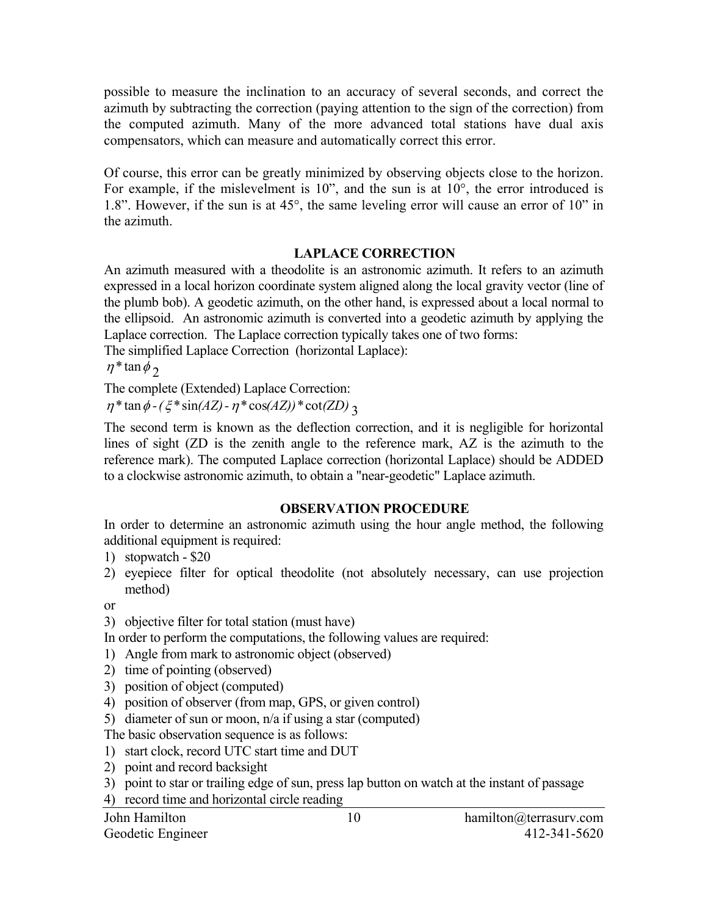possible to measure the inclination to an accuracy of several seconds, and correct the azimuth by subtracting the correction (paying attention to the sign of the correction) from the computed azimuth. Many of the more advanced total stations have dual axis compensators, which can measure and automatically correct this error.

Of course, this error can be greatly minimized by observing objects close to the horizon. For example, if the mislevelment is 10", and the sun is at 10°, the error introduced is 1.8". However, if the sun is at 45°, the same leveling error will cause an error of 10" in the azimuth.

## **LAPLACE CORRECTION**

An azimuth measured with a theodolite is an astronomic azimuth. It refers to an azimuth expressed in a local horizon coordinate system aligned along the local gravity vector (line of the plumb bob). A geodetic azimuth, on the other hand, is expressed about a local normal to the ellipsoid. An astronomic azimuth is converted into a geodetic azimuth by applying the Laplace correction. The Laplace correction typically takes one of two forms:

The simplified Laplace Correction (horizontal Laplace):

 $\eta^*$  tan  $\phi_2$ 

The complete (Extended) Laplace Correction:

 $\eta^* \tan \phi - (\xi^* \sin(AZ) - \eta^* \cos(AZ))^* \cot(ZD)$ 

The second term is known as the deflection correction, and it is negligible for horizontal lines of sight (ZD is the zenith angle to the reference mark, AZ is the azimuth to the reference mark). The computed Laplace correction (horizontal Laplace) should be ADDED to a clockwise astronomic azimuth, to obtain a "near-geodetic" Laplace azimuth.

## **OBSERVATION PROCEDURE**

In order to determine an astronomic azimuth using the hour angle method, the following additional equipment is required:

- 1) stopwatch \$20
- 2) eyepiece filter for optical theodolite (not absolutely necessary, can use projection method)

or

3) objective filter for total station (must have)

In order to perform the computations, the following values are required:

- 1) Angle from mark to astronomic object (observed)
- 2) time of pointing (observed)
- 3) position of object (computed)
- 4) position of observer (from map, GPS, or given control)
- 5) diameter of sun or moon, n/a if using a star (computed)

The basic observation sequence is as follows:

- 1) start clock, record UTC start time and DUT
- 2) point and record backsight
- 3) point to star or trailing edge of sun, press lap button on watch at the instant of passage

4) record time and horizontal circle reading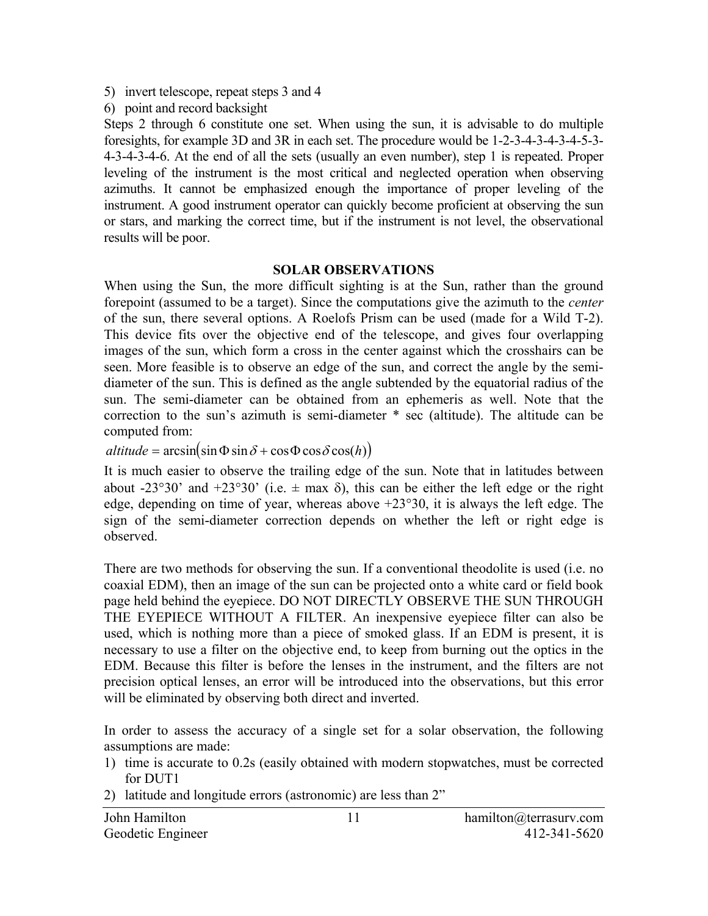- 5) invert telescope, repeat steps 3 and 4
- 6) point and record backsight

Steps 2 through 6 constitute one set. When using the sun, it is advisable to do multiple foresights, for example 3D and 3R in each set. The procedure would be 1-2-3-4-3-4-3-4-5-3- 4-3-4-3-4-6. At the end of all the sets (usually an even number), step 1 is repeated. Proper leveling of the instrument is the most critical and neglected operation when observing azimuths. It cannot be emphasized enough the importance of proper leveling of the instrument. A good instrument operator can quickly become proficient at observing the sun or stars, and marking the correct time, but if the instrument is not level, the observational results will be poor.

### **SOLAR OBSERVATIONS**

When using the Sun, the more difficult sighting is at the Sun, rather than the ground forepoint (assumed to be a target). Since the computations give the azimuth to the *center* of the sun, there several options. A Roelofs Prism can be used (made for a Wild T-2). This device fits over the objective end of the telescope, and gives four overlapping images of the sun, which form a cross in the center against which the crosshairs can be seen. More feasible is to observe an edge of the sun, and correct the angle by the semidiameter of the sun. This is defined as the angle subtended by the equatorial radius of the sun. The semi-diameter can be obtained from an ephemeris as well. Note that the correction to the sun's azimuth is semi-diameter \* sec (altitude). The altitude can be computed from:

 $\alpha$ *ltitude* =  $\arcsin(\sin \Phi \sin \delta + \cos \Phi \cos \delta \cos(h))$ 

It is much easier to observe the trailing edge of the sun. Note that in latitudes between about -23°30' and +23°30' (i.e.  $\pm$  max  $\delta$ ), this can be either the left edge or the right edge, depending on time of year, whereas above  $+23^{\circ}30$ , it is always the left edge. The sign of the semi-diameter correction depends on whether the left or right edge is observed.

There are two methods for observing the sun. If a conventional theodolite is used (i.e. no coaxial EDM), then an image of the sun can be projected onto a white card or field book page held behind the eyepiece. DO NOT DIRECTLY OBSERVE THE SUN THROUGH THE EYEPIECE WITHOUT A FILTER. An inexpensive eyepiece filter can also be used, which is nothing more than a piece of smoked glass. If an EDM is present, it is necessary to use a filter on the objective end, to keep from burning out the optics in the EDM. Because this filter is before the lenses in the instrument, and the filters are not precision optical lenses, an error will be introduced into the observations, but this error will be eliminated by observing both direct and inverted.

In order to assess the accuracy of a single set for a solar observation, the following assumptions are made:

- 1) time is accurate to 0.2s (easily obtained with modern stopwatches, must be corrected for DUT1
- 2) latitude and longitude errors (astronomic) are less than 2"

| John Hamilton     | $hamilton(\omega)$ terrasurv.com |
|-------------------|----------------------------------|
| Geodetic Engineer | 412-341-5620                     |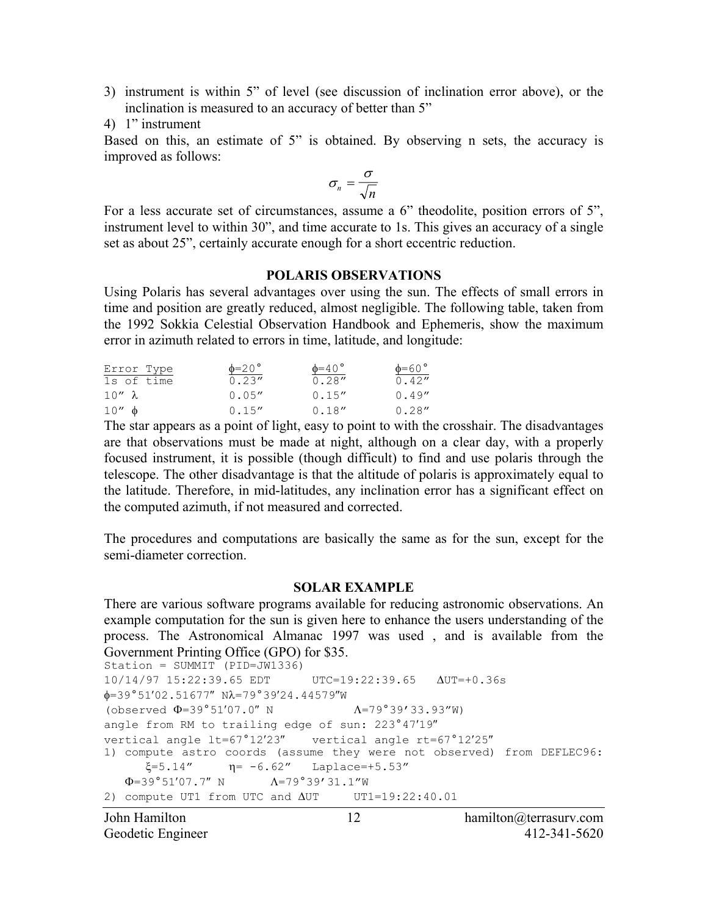- 3) instrument is within 5" of level (see discussion of inclination error above), or the inclination is measured to an accuracy of better than 5"
- 4) 1" instrument

Based on this, an estimate of 5" is obtained. By observing n sets, the accuracy is improved as follows:

$$
\sigma_n = \frac{\sigma}{\sqrt{n}}
$$

For a less accurate set of circumstances, assume a 6" theodolite, position errors of 5", instrument level to within 30", and time accurate to 1s. This gives an accuracy of a single set as about 25", certainly accurate enough for a short eccentric reduction.

#### **POLARIS OBSERVATIONS**

Using Polaris has several advantages over using the sun. The effects of small errors in time and position are greatly reduced, almost negligible. The following table, taken from the 1992 Sokkia Celestial Observation Handbook and Ephemeris, show the maximum error in azimuth related to errors in time, latitude, and longitude:

| Error Type     | $\phi = 20$ ° | $\phi = 40^{\circ}$ | $\phi = 60$ ° |
|----------------|---------------|---------------------|---------------|
| 1s of time     | 0.23''        | 0.28''              | 0.42''        |
| $10'' \lambda$ | 0.05''        | 0.15''              | 0.49''        |
| $10'' \phi$    | 0.15''        | 0.18''              | 0.28''        |

The star appears as a point of light, easy to point to with the crosshair. The disadvantages are that observations must be made at night, although on a clear day, with a properly focused instrument, it is possible (though difficult) to find and use polaris through the telescope. The other disadvantage is that the altitude of polaris is approximately equal to the latitude. Therefore, in mid-latitudes, any inclination error has a significant effect on the computed azimuth, if not measured and corrected.

The procedures and computations are basically the same as for the sun, except for the semi-diameter correction.

#### **SOLAR EXAMPLE**

There are various software programs available for reducing astronomic observations. An example computation for the sun is given here to enhance the users understanding of the process. The Astronomical Almanac 1997 was used , and is available from the Government Printing Office (GPO) for \$35.

```
Station = SUMMIT (PID=JW1336)10/14/97 15:22:39.65 EDT UTC=19:22:39.65 ∆UT=+0.36s 
\phi = 39^{\circ}51'02.51677'' \text{ N} \lambda = 79^{\circ}39'24.44579''W
(observed \Phi=39°51'07.0" N \Lambda=79°39'33.93"W)
angle from RM to trailing edge of sun: 223°47′19″
vertical angle lt=67°12′23″ vertical angle rt=67°12′25″ 
1) compute astro coords (assume they were not observed) from DEFLEC96: 
      \xi = 5.14'' \eta = -6.62'' Laplace=+5.53"
   \Phi = 39^{\circ}51'07.7'' N \Lambda = 79^{\circ}39'31.1''W
2) compute UT1 from UTC and ΔUT UT1=19:22:40.01
```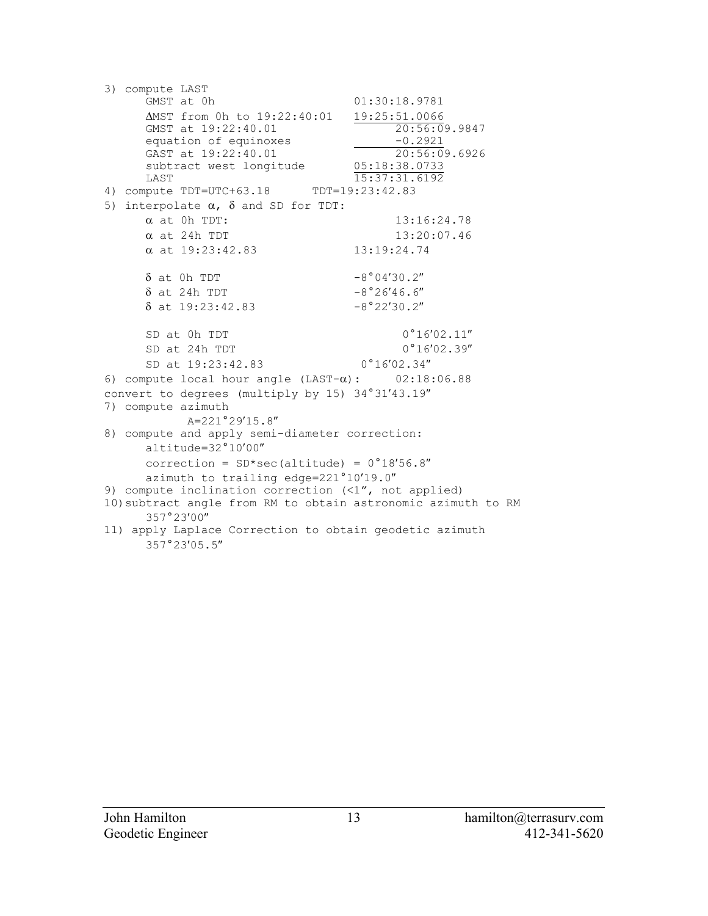```
3) compute LAST 
                                    01:30:18.9781ΔMST from 0h to 19:22:40:01 19:25:51.0066<br>
GMST at 19:22:40.01 20:56:09.9847
      GMST at 19:22:40.01
      equation of equinoxes \overline{0.2921}<br>GAST at 19:22:40.01 \overline{20:56:09.6926}GAST at 19:22:40.01 20:56:09<br>subtract west longitude 05:18:38.0733
      subtract west longitude<br>LAST
                              \frac{15:37:31.6192}{15:37:31.6192}4) compute TDT=UTC+63.18
5) interpolate \alpha, \delta and SD for TDT:
      \alpha at 0h TDT: 13:16:24.78\alpha at 24h TDT 13:20:07.46
      \alpha at 19:23:42.83 13:19:24.74
      \delta at 0h TDT -8°04'30.2''\delta at 24h TDT -8°26'46.6''\delta at 19:23:42.83 -8°22'30.2''SD at 0h TDT 0^{\circ}16'02.11''SD at 24h TDT 0°16′02.39"
      SD at 19:23:42.83 0°16′02.34″
6) compute local hour angle (LAST-\alpha): 02:18:06.88
convert to degrees (multiply by 15) 34°31′43.19″
7) compute azimuth 
            A=221°29′15.8″
8) compute and apply semi-diameter correction: 
      altitude=32°10′00″
      correction = SD*sec (altitude) = 0°18'56.8''azimuth to trailing edge=221°10′19.0″
9) compute inclination correction (<1", not applied) 
10)subtract angle from RM to obtain astronomic azimuth to RM 
      357°23′00″
11) apply Laplace Correction to obtain geodetic azimuth 
      357°23′05.5″
```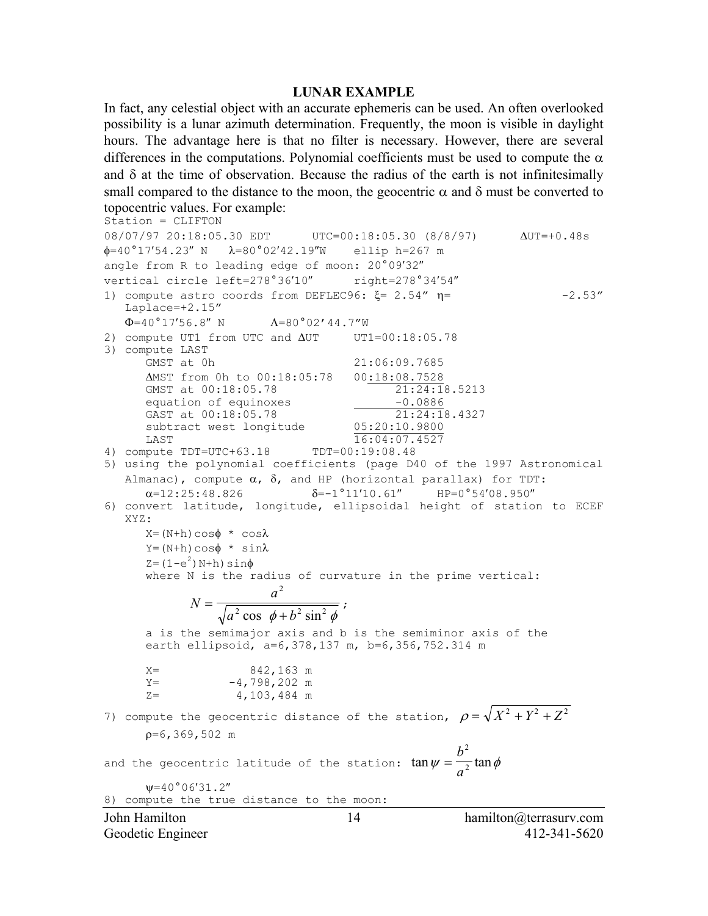#### **LUNAR EXAMPLE**

In fact, any celestial object with an accurate ephemeris can be used. An often overlooked possibility is a lunar azimuth determination. Frequently, the moon is visible in daylight hours. The advantage here is that no filter is necessary. However, there are several differences in the computations. Polynomial coefficients must be used to compute the  $\alpha$ and  $\delta$  at the time of observation. Because the radius of the earth is not infinitesimally small compared to the distance to the moon, the geocentric  $\alpha$  and  $\delta$  must be converted to topocentric values. For example:

```
John Hamilton 14 hamilton@terrasurv.com 
Geodetic Engineer 412-341-5620
Station = CLIFTON 
08/07/97 20:18:05.30 EDT UTC=00:18:05.30 (8/8/97) ∆UT=+0.48s 
\phi = 40^{\circ}17'54.23'' N \lambda = 80^{\circ}02'42.19''W ellip h=267 m
angle from R to leading edge of moon: 20°09′32″
vertical circle left=278°36'10" right=278°34'54"
1) compute astro coords from DEFLEC96: \xi = 2.54'' \eta = -2.53''Laplace=+2.15" 
   \Phi = 40^{\circ}17'56.8'' N \Lambda = 80^{\circ}02'44.7''W2) compute UT1 from UTC and ∆UT UT1=00:18:05.78
3) compute LAST 
      GMST at 0h 21:06:09.7685
      ΔMST from 0h to 00:18:05:78 00:18:08.7528<br>GMST at 00:18:05.78 21:24:18.5213
      GMST at 00:18:05.78
      equation of equinoxes \overline{GAST} at 00:18:05.78 \overline{O} = 21:24:18.4327GAST at 00:18:05.78 21:24:1<br>subtract west longitude 05:20:10.9800
      subtract west longitude
      LAST 16:04:07.4527
4) compute TDT=UTC+63.18 TDT=00:19:08.48 
5) using the polynomial coefficients (page D40 of the 1997 Astronomical 
   Almanac), compute \alpha, \delta, and HP (horizontal parallax) for TDT:
      \alpha=12:25:48.826 \delta=-1^{\circ}11'10.61'' HP=0^{\circ}54'08.950''6) convert latitude, longitude, ellipsoidal height of station to ECEF 
   XYZ: 
      X=(N+h)\cos\phi * \cos\lambdaY = (N+h)\cos\phi * \sin\lambdaZ = (1-e^2) N+h) sin\phiwhere N is the radius of curvature in the prime vertical: 
             N
                          a
               =\frac{a}{\sqrt{a^2\cos\phi+b}}2
                    \sqrt[2]{\cos \phi + b^2 \sin^2 \phi}a is the semimajor axis and b is the semiminor axis of the 
      earth ellipsoid, a=6,378,137 m, b=6,356,752.314 m 
      X= 842,163 m 
      Y = -4,798,202 \text{ m}Z = 4,103,484 m
7) compute the geocentric distance of the station, \rho = \sqrt{X^2 + Y^2 + Z^2}ρ=6,369,502 m 
and the geocentric latitude of the station: \tan \psi = \frac{b^2}{\lambda} \tan \phia
                                                        2
                                                        2
      ψ=40°06′31.2″
8) compute the true distance to the moon:
```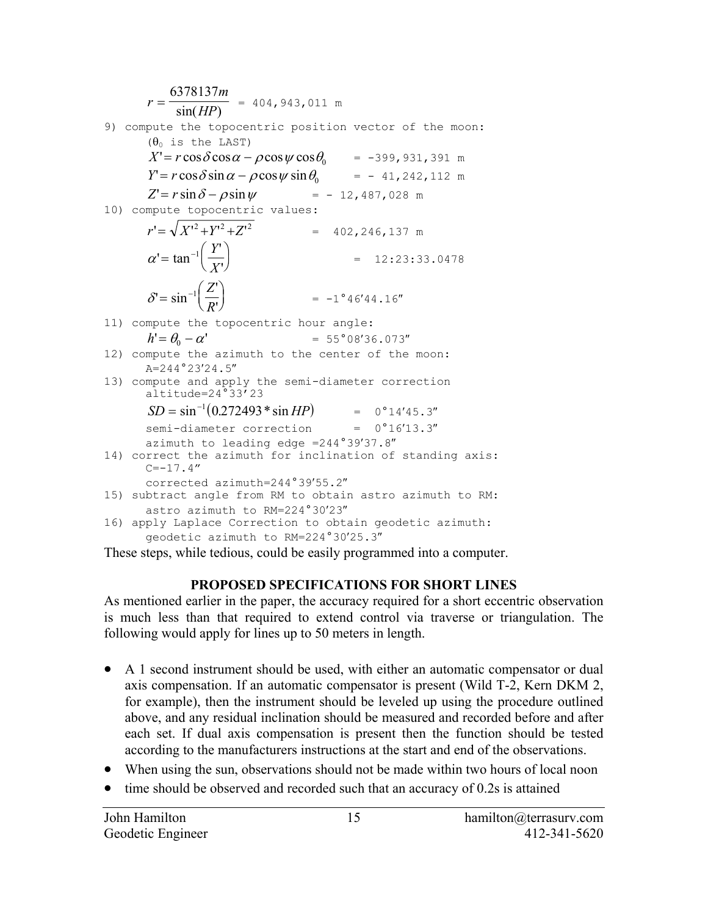

These steps, while tedious, could be easily programmed into a computer.

# **PROPOSED SPECIFICATIONS FOR SHORT LINES**

As mentioned earlier in the paper, the accuracy required for a short eccentric observation is much less than that required to extend control via traverse or triangulation. The following would apply for lines up to 50 meters in length.

- A 1 second instrument should be used, with either an automatic compensator or dual axis compensation. If an automatic compensator is present (Wild T-2, Kern DKM 2, for example), then the instrument should be leveled up using the procedure outlined above, and any residual inclination should be measured and recorded before and after each set. If dual axis compensation is present then the function should be tested according to the manufacturers instructions at the start and end of the observations.
- When using the sun, observations should not be made within two hours of local noon
- time should be observed and recorded such that an accuracy of 0.2s is attained